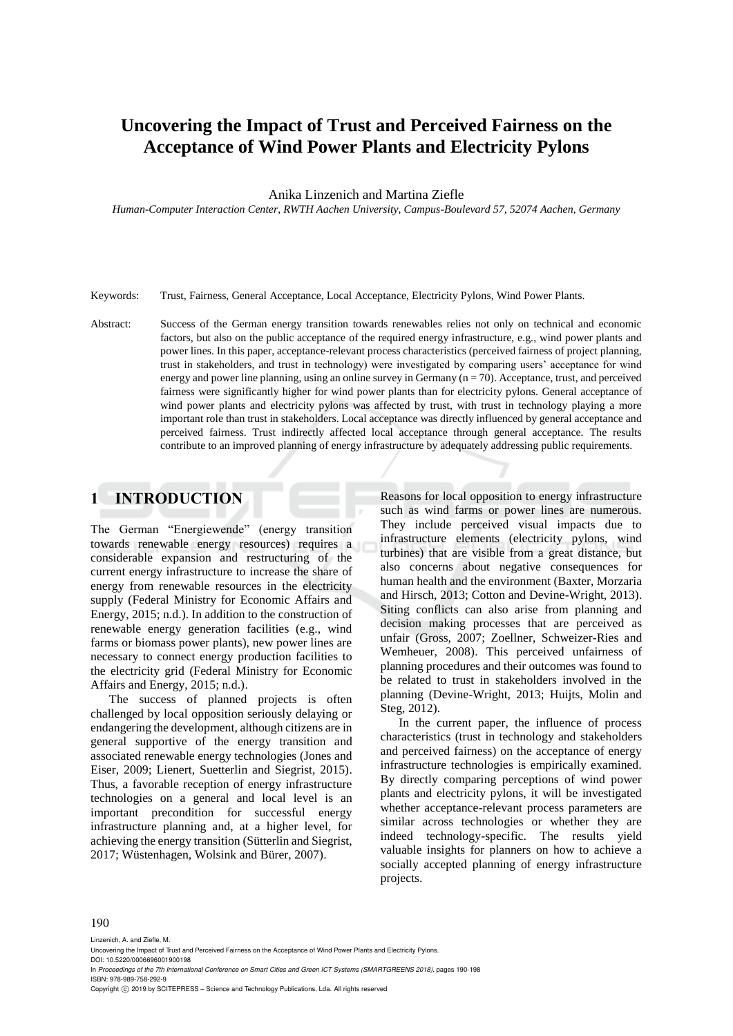# **Uncovering the Impact of Trust and Perceived Fairness on the Acceptance of Wind Power Plants and Electricity Pylons**

Anika Linzenich and Martina Ziefle

*Human-Computer Interaction Center, RWTH Aachen University, Campus-Boulevard 57, 52074 Aachen, Germany*

Keywords: Trust, Fairness, General Acceptance, Local Acceptance, Electricity Pylons, Wind Power Plants.

Abstract: Success of the German energy transition towards renewables relies not only on technical and economic factors, but also on the public acceptance of the required energy infrastructure, e.g., wind power plants and power lines. In this paper, acceptance-relevant process characteristics (perceived fairness of project planning, trust in stakeholders, and trust in technology) were investigated by comparing users' acceptance for wind energy and power line planning, using an online survey in Germany (n = 70). Acceptance, trust, and perceived fairness were significantly higher for wind power plants than for electricity pylons. General acceptance of wind power plants and electricity pylons was affected by trust, with trust in technology playing a more important role than trust in stakeholders. Local acceptance was directly influenced by general acceptance and perceived fairness. Trust indirectly affected local acceptance through general acceptance. The results contribute to an improved planning of energy infrastructure by adequately addressing public requirements.

## **1 INTRODUCTION**

The German "Energiewende" (energy transition towards renewable energy resources) requires a considerable expansion and restructuring of the current energy infrastructure to increase the share of energy from renewable resources in the electricity supply (Federal Ministry for Economic Affairs and Energy, 2015; n.d.). In addition to the construction of renewable energy generation facilities (e.g., wind farms or biomass power plants), new power lines are necessary to connect energy production facilities to the electricity grid (Federal Ministry for Economic Affairs and Energy, 2015; n.d.).

The success of planned projects is often challenged by local opposition seriously delaying or endangering the development, although citizens are in general supportive of the energy transition and associated renewable energy technologies (Jones and Eiser, 2009; Lienert, Suetterlin and Siegrist, 2015). Thus, a favorable reception of energy infrastructure technologies on a general and local level is an important precondition for successful energy infrastructure planning and, at a higher level, for achieving the energy transition (Sütterlin and Siegrist, 2017; Wüstenhagen, Wolsink and Bürer, 2007).

Reasons for local opposition to energy infrastructure such as wind farms or power lines are numerous. They include perceived visual impacts due to infrastructure elements (electricity pylons, wind turbines) that are visible from a great distance, but also concerns about negative consequences for human health and the environment (Baxter, Morzaria and Hirsch, 2013; Cotton and Devine-Wright, 2013). Siting conflicts can also arise from planning and decision making processes that are perceived as unfair (Gross, 2007; Zoellner, Schweizer-Ries and Wemheuer, 2008). This perceived unfairness of planning procedures and their outcomes was found to be related to trust in stakeholders involved in the planning (Devine-Wright, 2013; Huijts, Molin and Steg, 2012).

In the current paper, the influence of process characteristics (trust in technology and stakeholders and perceived fairness) on the acceptance of energy infrastructure technologies is empirically examined. By directly comparing perceptions of wind power plants and electricity pylons, it will be investigated whether acceptance-relevant process parameters are similar across technologies or whether they are indeed technology-specific. The results yield valuable insights for planners on how to achieve a socially accepted planning of energy infrastructure projects.

#### 190

Linzenich, A. and Ziefle, M.

Uncovering the Impact of Trust and Perceived Fairness on the Acceptance of Wind Power Plants and Electricity Pylons. DOI: 10.5220/0006696001900198

In *Proceedings of the 7th International Conference on Smart Cities and Green ICT Systems (SMARTGREENS 2018)*, pages 190-198 ISBN: 978-989-758-292-9

Copyright (C) 2019 by SCITEPRESS - Science and Technology Publications, Lda. All rights reserved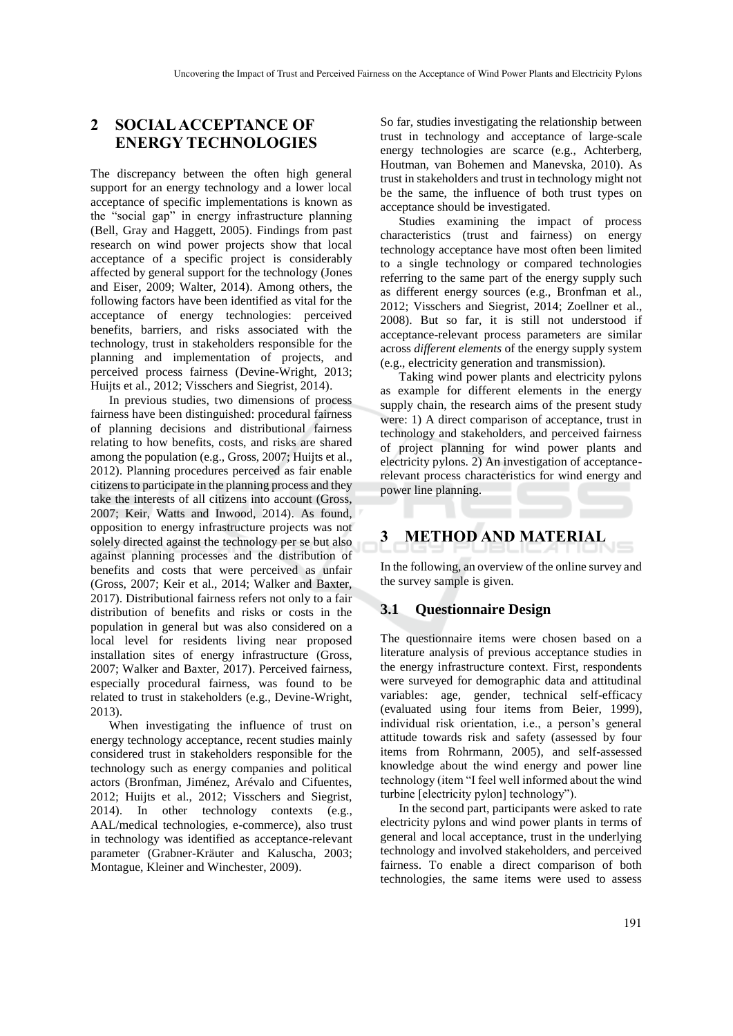## **2 SOCIAL ACCEPTANCE OF ENERGY TECHNOLOGIES**

The discrepancy between the often high general support for an energy technology and a lower local acceptance of specific implementations is known as the "social gap" in energy infrastructure planning (Bell, Gray and Haggett, 2005). Findings from past research on wind power projects show that local acceptance of a specific project is considerably affected by general support for the technology (Jones and Eiser, 2009; Walter, 2014). Among others, the following factors have been identified as vital for the acceptance of energy technologies: perceived benefits, barriers, and risks associated with the technology, trust in stakeholders responsible for the planning and implementation of projects, and perceived process fairness (Devine-Wright, 2013; Huijts et al., 2012; Visschers and Siegrist, 2014).

In previous studies, two dimensions of process fairness have been distinguished: procedural fairness of planning decisions and distributional fairness relating to how benefits, costs, and risks are shared among the population (e.g., Gross, 2007; Huijts et al., 2012). Planning procedures perceived as fair enable citizens to participate in the planning process and they take the interests of all citizens into account (Gross, 2007; Keir, Watts and Inwood, 2014). As found, opposition to energy infrastructure projects was not solely directed against the technology per se but also against planning processes and the distribution of benefits and costs that were perceived as unfair (Gross, 2007; Keir et al., 2014; Walker and Baxter, 2017). Distributional fairness refers not only to a fair distribution of benefits and risks or costs in the population in general but was also considered on a local level for residents living near proposed installation sites of energy infrastructure (Gross, 2007; Walker and Baxter, 2017). Perceived fairness, especially procedural fairness, was found to be related to trust in stakeholders (e.g., Devine-Wright, 2013).

When investigating the influence of trust on energy technology acceptance, recent studies mainly considered trust in stakeholders responsible for the technology such as energy companies and political actors (Bronfman, Jiménez, Arévalo and Cifuentes, 2012; Huijts et al., 2012; Visschers and Siegrist, 2014). In other technology contexts (e.g., AAL/medical technologies, e-commerce), also trust in technology was identified as acceptance-relevant parameter (Grabner-Kräuter and Kaluscha, 2003; Montague, Kleiner and Winchester, 2009).

So far, studies investigating the relationship between trust in technology and acceptance of large-scale energy technologies are scarce (e.g., Achterberg, Houtman, van Bohemen and Manevska, 2010). As trust in stakeholders and trust in technology might not be the same, the influence of both trust types on acceptance should be investigated.

Studies examining the impact of process characteristics (trust and fairness) on energy technology acceptance have most often been limited to a single technology or compared technologies referring to the same part of the energy supply such as different energy sources (e.g., Bronfman et al., 2012; Visschers and Siegrist, 2014; Zoellner et al., 2008). But so far, it is still not understood if acceptance-relevant process parameters are similar across *different elements* of the energy supply system (e.g., electricity generation and transmission).

Taking wind power plants and electricity pylons as example for different elements in the energy supply chain, the research aims of the present study were: 1) A direct comparison of acceptance, trust in technology and stakeholders, and perceived fairness of project planning for wind power plants and electricity pylons. 2) An investigation of acceptancerelevant process characteristics for wind energy and power line planning.

# **3 METHOD AND MATERIAL**

In the following, an overview of the online survey and the survey sample is given.

#### **3.1 Questionnaire Design**

The questionnaire items were chosen based on a literature analysis of previous acceptance studies in the energy infrastructure context. First, respondents were surveyed for demographic data and attitudinal variables: age, gender, technical self-efficacy (evaluated using four items from Beier, 1999), individual risk orientation, i.e., a person's general attitude towards risk and safety (assessed by four items from Rohrmann, 2005), and self-assessed knowledge about the wind energy and power line technology (item "I feel well informed about the wind turbine [electricity pylon] technology").

In the second part, participants were asked to rate electricity pylons and wind power plants in terms of general and local acceptance, trust in the underlying technology and involved stakeholders, and perceived fairness. To enable a direct comparison of both technologies, the same items were used to assess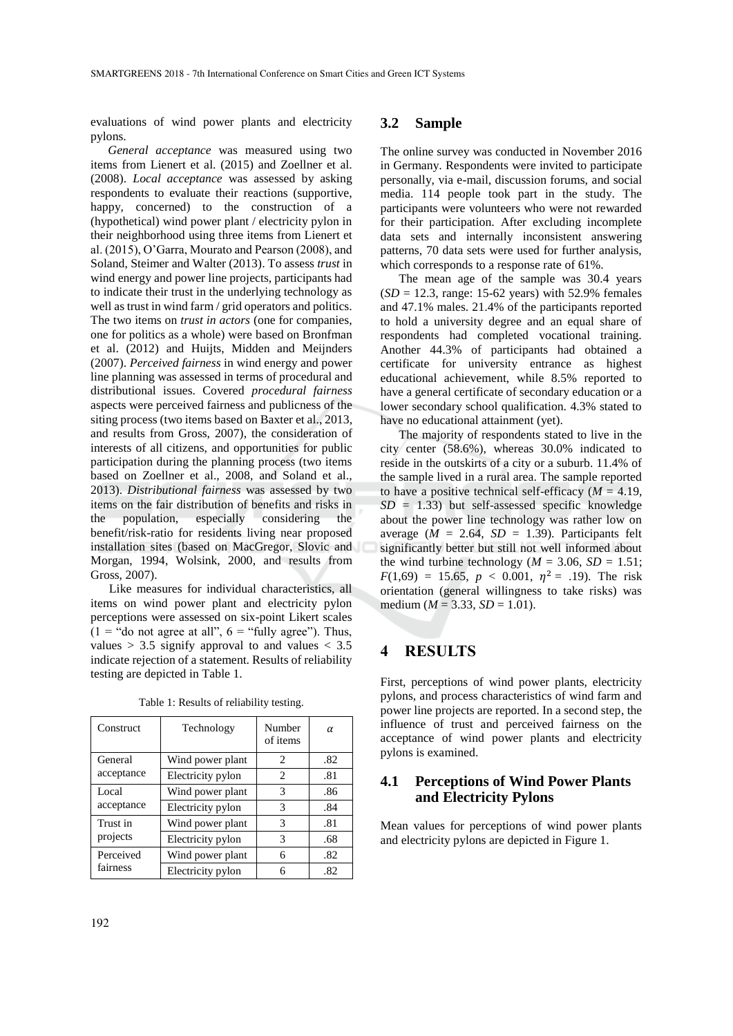evaluations of wind power plants and electricity pylons.

*General acceptance* was measured using two items from Lienert et al. (2015) and Zoellner et al. (2008). *Local acceptance* was assessed by asking respondents to evaluate their reactions (supportive, happy, concerned) to the construction of a (hypothetical) wind power plant / electricity pylon in their neighborhood using three items from Lienert et al. (2015), O'Garra, Mourato and Pearson (2008), and Soland, Steimer and Walter (2013). To assess *trust* in wind energy and power line projects, participants had to indicate their trust in the underlying technology as well as trust in wind farm / grid operators and politics. The two items on *trust in actors* (one for companies, one for politics as a whole) were based on Bronfman et al. (2012) and Huijts, Midden and Meijnders (2007). *Perceived fairness* in wind energy and power line planning was assessed in terms of procedural and distributional issues. Covered *procedural fairness* aspects were perceived fairness and publicness of the siting process (two items based on Baxter et al., 2013, and results from Gross, 2007), the consideration of interests of all citizens, and opportunities for public participation during the planning process (two items based on Zoellner et al., 2008, and Soland et al., 2013). *Distributional fairness* was assessed by two items on the fair distribution of benefits and risks in the population, especially considering the benefit/risk-ratio for residents living near proposed installation sites (based on MacGregor, Slovic and Morgan, 1994, Wolsink, 2000, and results from Gross, 2007).

Like measures for individual characteristics, all items on wind power plant and electricity pylon perceptions were assessed on six-point Likert scales  $(1 = "do not agree at all", 6 = "fully agree"). Thus,$ values  $> 3.5$  signify approval to and values  $< 3.5$ indicate rejection of a statement. Results of reliability testing are depicted in Table 1.

| Construct  | Technology        | Number<br>of items            | $\alpha$ |
|------------|-------------------|-------------------------------|----------|
| General    | Wind power plant  | $\mathfrak{D}_{\mathfrak{p}}$ | .82      |
| acceptance | Electricity pylon | 2                             | .81      |
| Local      | Wind power plant  | 3                             | .86      |
| acceptance | Electricity pylon | 3                             | .84      |
| Trust in   | Wind power plant  | 3                             | .81      |
| projects   | Electricity pylon | 3                             | .68      |
| Perceived  | Wind power plant  |                               | .82      |
| fairness   | Electricity pylon |                               | .82      |

Table 1: Results of reliability testing.

#### **3.2 Sample**

The online survey was conducted in November 2016 in Germany. Respondents were invited to participate personally, via e-mail, discussion forums, and social media. 114 people took part in the study. The participants were volunteers who were not rewarded for their participation. After excluding incomplete data sets and internally inconsistent answering patterns, 70 data sets were used for further analysis, which corresponds to a response rate of 61%.

The mean age of the sample was 30.4 years  $(SD = 12.3, \text{ range: } 15{\text -}62 \text{ years})$  with 52.9% females and 47.1% males. 21.4% of the participants reported to hold a university degree and an equal share of respondents had completed vocational training. Another 44.3% of participants had obtained a certificate for university entrance as highest educational achievement, while 8.5% reported to have a general certificate of secondary education or a lower secondary school qualification. 4.3% stated to have no educational attainment (yet).

The majority of respondents stated to live in the city center (58.6%), whereas 30.0% indicated to reside in the outskirts of a city or a suburb. 11.4% of the sample lived in a rural area. The sample reported to have a positive technical self-efficacy  $(M = 4.19)$ ,  $SD = 1.33$ ) but self-assessed specific knowledge about the power line technology was rather low on average  $(M = 2.64, SD = 1.39)$ . Participants felt significantly better but still not well informed about the wind turbine technology ( $M = 3.06$ ,  $SD = 1.51$ ;  $F(1,69) = 15.65$ ,  $p < 0.001$ ,  $\eta^2 = .19$ ). The risk orientation (general willingness to take risks) was medium ( $M = 3.33$ ,  $SD = 1.01$ ).

### **4 RESULTS**

First, perceptions of wind power plants, electricity pylons, and process characteristics of wind farm and power line projects are reported. In a second step, the influence of trust and perceived fairness on the acceptance of wind power plants and electricity pylons is examined.

### **4.1 Perceptions of Wind Power Plants and Electricity Pylons**

Mean values for perceptions of wind power plants and electricity pylons are depicted in Figure 1.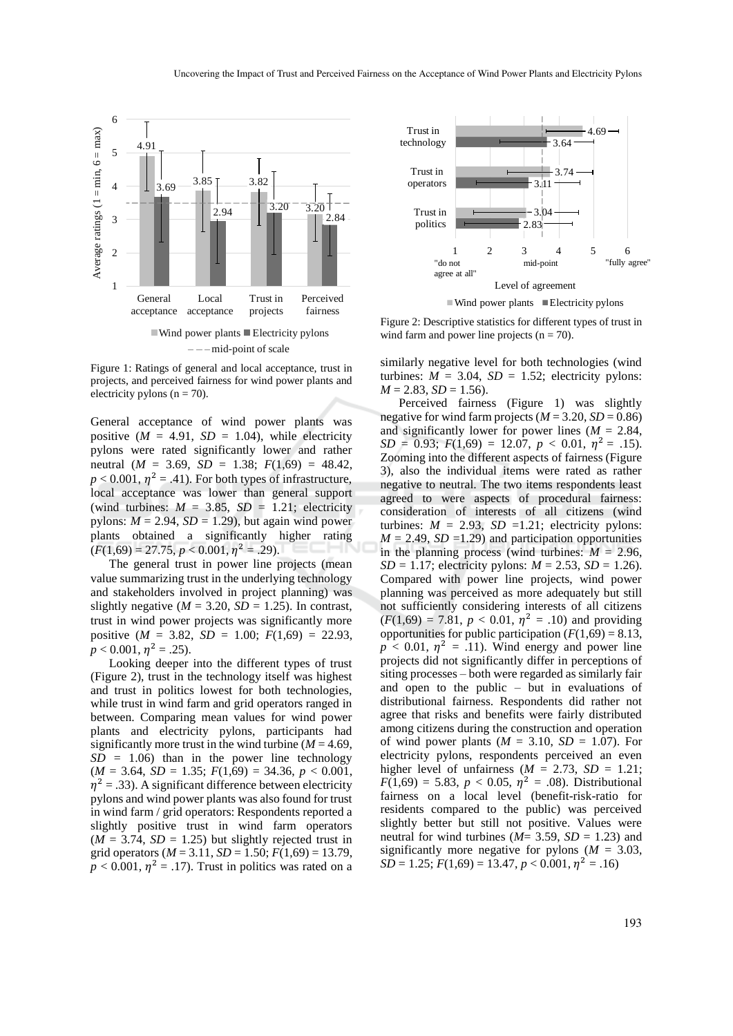

Figure 1: Ratings of general and local acceptance, trust in projects, and perceived fairness for wind power plants and electricity pylons ( $n = 70$ ).

General acceptance of wind power plants was positive  $(M = 4.91, SD = 1.04)$ , while electricity pylons were rated significantly lower and rather neutral ( $M = 3.69$ ,  $SD = 1.38$ ;  $F(1,69) = 48.42$ ,  $p < 0.001$ ,  $\eta^2 = .41$ ). For both types of infrastructure, local acceptance was lower than general support (wind turbines:  $M = 3.85$ ,  $SD = 1.21$ ; electricity pylons:  $M = 2.94$ ,  $SD = 1.29$ ), but again wind power plants obtained a significantly higher rating  $(F(1,69) = 27.75, p < 0.001, \eta^2 = .29).$ 

The general trust in power line projects (mean value summarizing trust in the underlying technology and stakeholders involved in project planning) was slightly negative ( $M = 3.20$ ,  $SD = 1.25$ ). In contrast, trust in wind power projects was significantly more positive  $(M = 3.82, SD = 1.00; F(1,69) = 22.93,$  $p < 0.001, \eta^2 = .25$ ).

Looking deeper into the different types of trust (Figure 2), trust in the technology itself was highest and trust in politics lowest for both technologies, while trust in wind farm and grid operators ranged in between. Comparing mean values for wind power plants and electricity pylons, participants had significantly more trust in the wind turbine  $(M = 4.69)$ ,  $SD = 1.06$ ) than in the power line technology  $(M = 3.64, SD = 1.35; F(1,69) = 34.36, p < 0.001,$  $\eta^2$  = .33). A significant difference between electricity pylons and wind power plants was also found for trust in wind farm / grid operators: Respondents reported a slightly positive trust in wind farm operators  $(M = 3.74, SD = 1.25)$  but slightly rejected trust in grid operators (*M* = 3.11, *SD* = 1.50; *F*(1,69) = 13.79,  $p < 0.001$ ,  $\eta^2 = .17$ ). Trust in politics was rated on a



Figure 2: Descriptive statistics for different types of trust in wind farm and power line projects  $(n = 70)$ .

similarly negative level for both technologies (wind turbines:  $M = 3.04$ ,  $SD = 1.52$ ; electricity pylons:  $M = 2.83$ ,  $SD = 1.56$ ).

Perceived fairness (Figure 1) was slightly negative for wind farm projects  $(M = 3.20, SD = 0.86)$ and significantly lower for power lines  $(M = 2.84,$  $SD = 0.93$ ;  $F(1,69) = 12.07$ ,  $p < 0.01$ ,  $\eta^2 = .15$ ). Zooming into the different aspects of fairness (Figure 3), also the individual items were rated as rather negative to neutral. The two items respondents least agreed to were aspects of procedural fairness: consideration of interests of all citizens (wind turbines:  $M = 2.93$ ,  $SD = 1.21$ ; electricity pylons:  $M = 2.49$ ,  $SD = 1.29$ ) and participation opportunities in the planning process (wind turbines:  $M = 2.96$ , *SD* = 1.17; electricity pylons:  $M = 2.53$ , *SD* = 1.26). Compared with power line projects, wind power planning was perceived as more adequately but still not sufficiently considering interests of all citizens  $(F(1,69) = 7.81, p < 0.01, \eta^2 = .10)$  and providing opportunities for public participation  $(F(1,69) = 8.13)$ ,  $p < 0.01$ ,  $\eta^2 = .11$ ). Wind energy and power line projects did not significantly differ in perceptions of siting processes – both were regarded as similarly fair and open to the public – but in evaluations of distributional fairness. Respondents did rather not agree that risks and benefits were fairly distributed among citizens during the construction and operation of wind power plants  $(M = 3.10, SD = 1.07)$ . For electricity pylons, respondents perceived an even higher level of unfairness  $(M = 2.73, SD = 1.21;$  $F(1,69) = 5.83, p < 0.05, \eta^2 = .08$ . Distributional fairness on a local level (benefit-risk-ratio for residents compared to the public) was perceived slightly better but still not positive. Values were neutral for wind turbines ( $M = 3.59$ ,  $SD = 1.23$ ) and significantly more negative for pylons  $(M = 3.03,$  $SD = 1.25$ ;  $F(1,69) = 13.47$ ,  $p < 0.001$ ,  $\eta^2 = .16$ )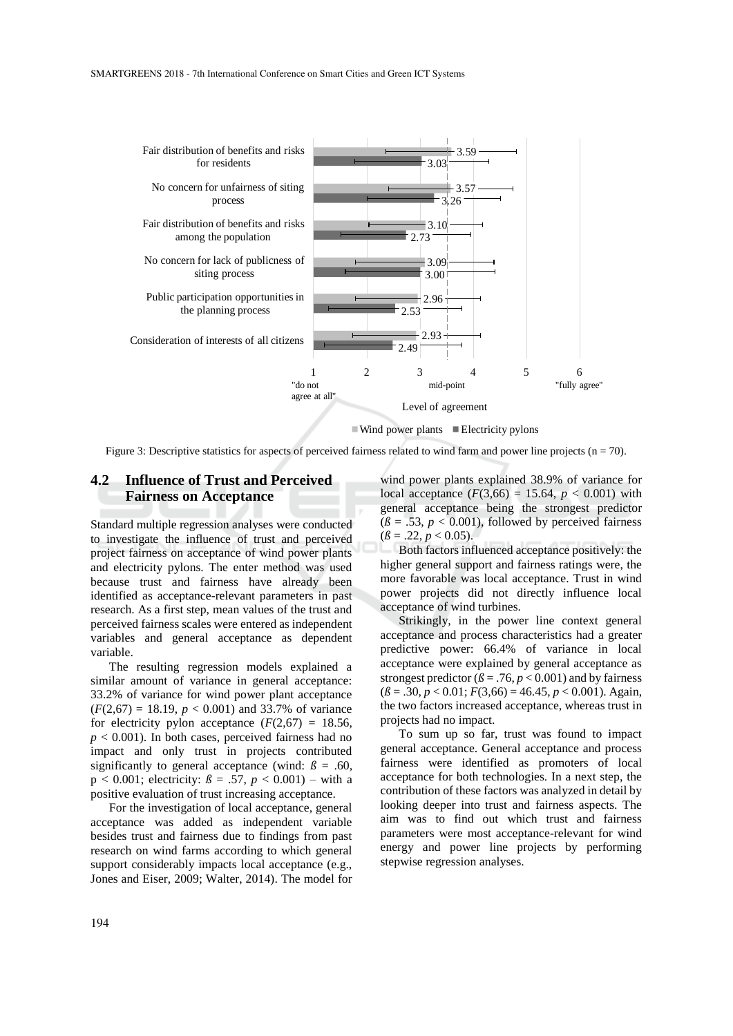

 $\blacksquare$  Wind power plants  $\blacksquare$  Electricity pylons

Figure 3: Descriptive statistics for aspects of perceived fairness related to wind farm and power line projects ( $n = 70$ ).

### **4.2 Influence of Trust and Perceived Fairness on Acceptance**

Standard multiple regression analyses were conducted to investigate the influence of trust and perceived project fairness on acceptance of wind power plants and electricity pylons. The enter method was used because trust and fairness have already been identified as acceptance-relevant parameters in past research. As a first step, mean values of the trust and perceived fairness scales were entered as independent variables and general acceptance as dependent variable.

The resulting regression models explained a similar amount of variance in general acceptance: 33.2% of variance for wind power plant acceptance  $(F(2,67) = 18.19, p < 0.001)$  and 33.7% of variance for electricity pylon acceptance  $(F(2,67) = 18.56,$  $p < 0.001$ ). In both cases, perceived fairness had no impact and only trust in projects contributed significantly to general acceptance (wind:  $\beta = .60$ ,  $p < 0.001$ ; electricity:  $\beta = .57$ ,  $p < 0.001$ ) – with a positive evaluation of trust increasing acceptance.

For the investigation of local acceptance, general acceptance was added as independent variable besides trust and fairness due to findings from past research on wind farms according to which general support considerably impacts local acceptance (e.g., Jones and Eiser, 2009; Walter, 2014). The model for

wind power plants explained 38.9% of variance for local acceptance  $(F(3.66) = 15.64, p < 0.001)$  with general acceptance being the strongest predictor  $(\beta = .53, p < 0.001)$ , followed by perceived fairness  $(\beta = .22, p < 0.05)$ .

Both factors influenced acceptance positively: the higher general support and fairness ratings were, the more favorable was local acceptance. Trust in wind power projects did not directly influence local acceptance of wind turbines.

Strikingly, in the power line context general acceptance and process characteristics had a greater predictive power: 66.4% of variance in local acceptance were explained by general acceptance as strongest predictor ( $\beta$  = .76,  $p$  < 0.001) and by fairness  $(\beta = .30, p < 0.01; F(3,66) = 46.45, p < 0.001)$ . Again, the two factors increased acceptance, whereas trust in projects had no impact.

To sum up so far, trust was found to impact general acceptance. General acceptance and process fairness were identified as promoters of local acceptance for both technologies. In a next step, the contribution of these factors was analyzed in detail by looking deeper into trust and fairness aspects. The aim was to find out which trust and fairness parameters were most acceptance-relevant for wind energy and power line projects by performing stepwise regression analyses.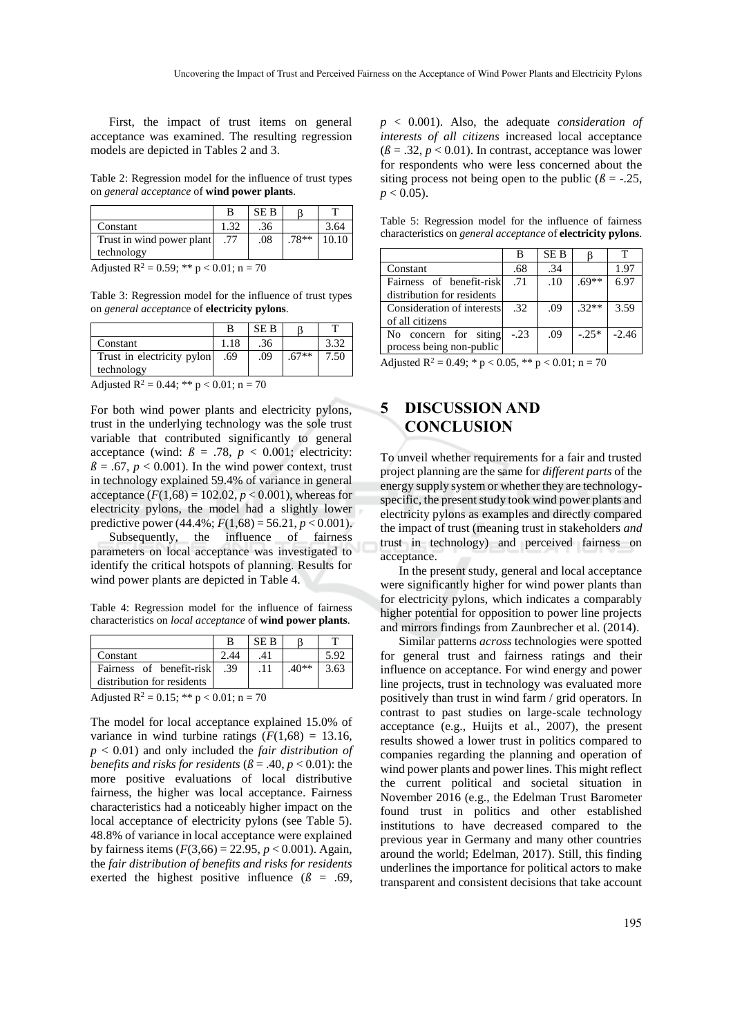First, the impact of trust items on general acceptance was examined. The resulting regression models are depicted in Tables 2 and 3.

Table 2: Regression model for the influence of trust types on *general acceptance* of **wind power plants**.

|                                                       |      | SE B |         |       |
|-------------------------------------------------------|------|------|---------|-------|
| Constant                                              | 1.32 | .36  |         | 3.64  |
| Trust in wind power plant                             | .77  | .08  | $.78**$ | 10.10 |
| technology                                            |      |      |         |       |
| $\lambda$ j;, i D <sup>2</sup> 0.50; ** = <0.01; = 70 |      |      |         |       |

Adjusted  $R^2 = 0.59$ ; \*\* p < 0.01; n = 70

Table 3: Regression model for the influence of trust types on *general acceptan*ce of **electricity pylons**.

|                            |     | SE B |         |      |
|----------------------------|-----|------|---------|------|
| Constant                   |     | .36  |         | 3.32 |
| Trust in electricity pylon | .69 | .09  | $.67**$ | 7.50 |
| technology                 |     |      |         |      |

Adjusted  $R^2 = 0.44$ ; \*\* p < 0.01; n = 70

For both wind power plants and electricity pylons, trust in the underlying technology was the sole trust variable that contributed significantly to general acceptance (wind:  $\beta = .78$ ,  $p < 0.001$ ; electricity:  $\beta = .67$ ,  $p < 0.001$ ). In the wind power context, trust in technology explained 59.4% of variance in general acceptance  $(F(1,68) = 102.02, p < 0.001)$ , whereas for electricity pylons, the model had a slightly lower predictive power  $(44.4\%; F(1,68) = 56.21, p < 0.001)$ .

Subsequently, the influence of fairness parameters on local acceptance was investigated to identify the critical hotspots of planning. Results for wind power plants are depicted in Table 4.

Table 4: Regression model for the influence of fairness characteristics on *local acceptance* of **wind power plants**.

|                                                                       |      | SE B |         |      |
|-----------------------------------------------------------------------|------|------|---------|------|
| Constant                                                              | 2.44 | .41  |         | 5.92 |
| Fairness of benefit-risk                                              | .39  | .11  | $.40**$ | 3.63 |
| distribution for residents                                            |      |      |         |      |
| $\lambda$ divided $D^2 = 0.15$ , ** $\alpha \ge 0.01$ , $\alpha = 70$ |      |      |         |      |

Adjusted  $R^2 = 0.15$ ; \*\*  $p < 0.01$ ; n = 70

The model for local acceptance explained 15.0% of variance in wind turbine ratings  $(F(1,68) = 13.16,$ *p* < 0.01) and only included the *fair distribution of benefits and risks for residents* ( $\beta$  = .40,  $p$  < 0.01): the more positive evaluations of local distributive fairness, the higher was local acceptance. Fairness characteristics had a noticeably higher impact on the local acceptance of electricity pylons (see Table 5). 48.8% of variance in local acceptance were explained by fairness items (*F*(3,66) = 22.95, *p* < 0.001). Again, the *fair distribution of benefits and risks for residents* exerted the highest positive influence  $(\beta = .69)$ ,

*p* < 0.001). Also, the adequate *consideration of interests of all citizens* increased local acceptance  $(\beta = .32, p < 0.01)$ . In contrast, acceptance was lower for respondents who were less concerned about the siting process not being open to the public ( $\beta$  = -.25,  $p < 0.05$ ).

Table 5: Regression model for the influence of fairness characteristics on *general acceptance* of **electricity pylons**.

|                                                        | В      | <b>SEB</b> |         |         |
|--------------------------------------------------------|--------|------------|---------|---------|
| Constant                                               | .68    | .34        |         | 1.97    |
| Fairness of benefit-risk<br>distribution for residents | .71    | .10        | $.69**$ | 6.97    |
| Consideration of interests<br>of all citizens          | .32    | .09        | $.32**$ | 3.59    |
| concern for siting<br>No.<br>process being non-public  | $-.23$ | .09        | $-.25*$ | $-2.46$ |

Adjusted  $R^2 = 0.49$ ; \* p < 0.05, \*\* p < 0.01; n = 70

### **5 DISCUSSION AND CONCLUSION**

To unveil whether requirements for a fair and trusted project planning are the same for *different parts* of the energy supply system or whether they are technologyspecific, the present study took wind power plants and electricity pylons as examples and directly compared the impact of trust (meaning trust in stakeholders *and* trust in technology) and perceived fairness on acceptance.

In the present study, general and local acceptance were significantly higher for wind power plants than for electricity pylons, which indicates a comparably higher potential for opposition to power line projects and mirrors findings from Zaunbrecher et al. (2014).

Similar patterns *across* technologies were spotted for general trust and fairness ratings and their influence on acceptance. For wind energy and power line projects, trust in technology was evaluated more positively than trust in wind farm / grid operators. In contrast to past studies on large-scale technology acceptance (e.g., Huijts et al., 2007), the present results showed a lower trust in politics compared to companies regarding the planning and operation of wind power plants and power lines. This might reflect the current political and societal situation in November 2016 (e.g., the Edelman Trust Barometer found trust in politics and other established institutions to have decreased compared to the previous year in Germany and many other countries around the world; Edelman, 2017). Still, this finding underlines the importance for political actors to make transparent and consistent decisions that take account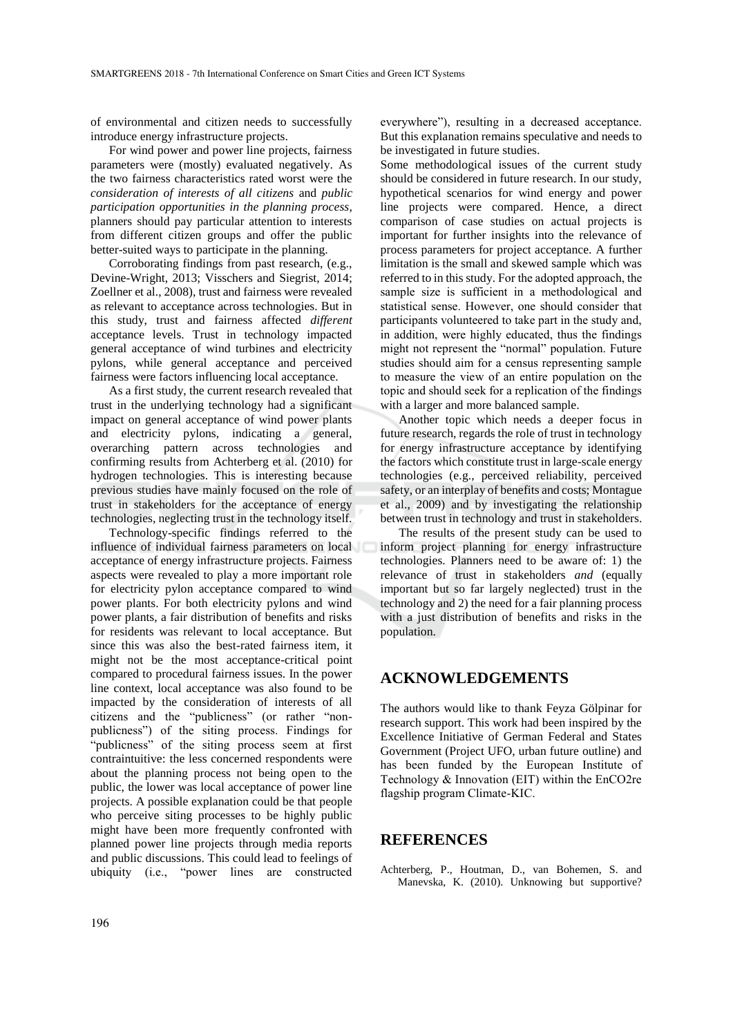of environmental and citizen needs to successfully introduce energy infrastructure projects.

For wind power and power line projects, fairness parameters were (mostly) evaluated negatively. As the two fairness characteristics rated worst were the *consideration of interests of all citizens* and *public participation opportunities in the planning process*, planners should pay particular attention to interests from different citizen groups and offer the public better-suited ways to participate in the planning.

Corroborating findings from past research, (e.g., Devine-Wright, 2013; Visschers and Siegrist, 2014; Zoellner et al., 2008), trust and fairness were revealed as relevant to acceptance across technologies. But in this study, trust and fairness affected *different* acceptance levels. Trust in technology impacted general acceptance of wind turbines and electricity pylons, while general acceptance and perceived fairness were factors influencing local acceptance.

As a first study, the current research revealed that trust in the underlying technology had a significant impact on general acceptance of wind power plants and electricity pylons, indicating a general, overarching pattern across technologies and confirming results from Achterberg et al. (2010) for hydrogen technologies. This is interesting because previous studies have mainly focused on the role of trust in stakeholders for the acceptance of energy technologies, neglecting trust in the technology itself.

Technology-specific findings referred to the influence of individual fairness parameters on local acceptance of energy infrastructure projects. Fairness aspects were revealed to play a more important role for electricity pylon acceptance compared to wind power plants. For both electricity pylons and wind power plants, a fair distribution of benefits and risks for residents was relevant to local acceptance. But since this was also the best-rated fairness item, it might not be the most acceptance-critical point compared to procedural fairness issues. In the power line context, local acceptance was also found to be impacted by the consideration of interests of all citizens and the "publicness" (or rather "nonpublicness") of the siting process. Findings for "publicness" of the siting process seem at first contraintuitive: the less concerned respondents were about the planning process not being open to the public, the lower was local acceptance of power line projects. A possible explanation could be that people who perceive siting processes to be highly public might have been more frequently confronted with planned power line projects through media reports and public discussions. This could lead to feelings of ubiquity (i.e., "power lines are constructed

everywhere"), resulting in a decreased acceptance. But this explanation remains speculative and needs to be investigated in future studies.

Some methodological issues of the current study should be considered in future research. In our study, hypothetical scenarios for wind energy and power line projects were compared. Hence, a direct comparison of case studies on actual projects is important for further insights into the relevance of process parameters for project acceptance. A further limitation is the small and skewed sample which was referred to in this study. For the adopted approach, the sample size is sufficient in a methodological and statistical sense. However, one should consider that participants volunteered to take part in the study and, in addition, were highly educated, thus the findings might not represent the "normal" population. Future studies should aim for a census representing sample to measure the view of an entire population on the topic and should seek for a replication of the findings with a larger and more balanced sample.

Another topic which needs a deeper focus in future research, regards the role of trust in technology for energy infrastructure acceptance by identifying the factors which constitute trust in large-scale energy technologies (e.g., perceived reliability, perceived safety, or an interplay of benefits and costs; Montague et al., 2009) and by investigating the relationship between trust in technology and trust in stakeholders.

The results of the present study can be used to inform project planning for energy infrastructure technologies. Planners need to be aware of: 1) the relevance of trust in stakeholders *and* (equally important but so far largely neglected) trust in the technology and 2) the need for a fair planning process with a just distribution of benefits and risks in the population.

#### **ACKNOWLEDGEMENTS**

The authors would like to thank Feyza Gölpinar for research support. This work had been inspired by the Excellence Initiative of German Federal and States Government (Project UFO, urban future outline) and has been funded by the European Institute of Technology & Innovation (EIT) within the EnCO2re flagship program Climate-KIC.

### **REFERENCES**

Achterberg, P., Houtman, D., van Bohemen, S. and Manevska, K. (2010). Unknowing but supportive?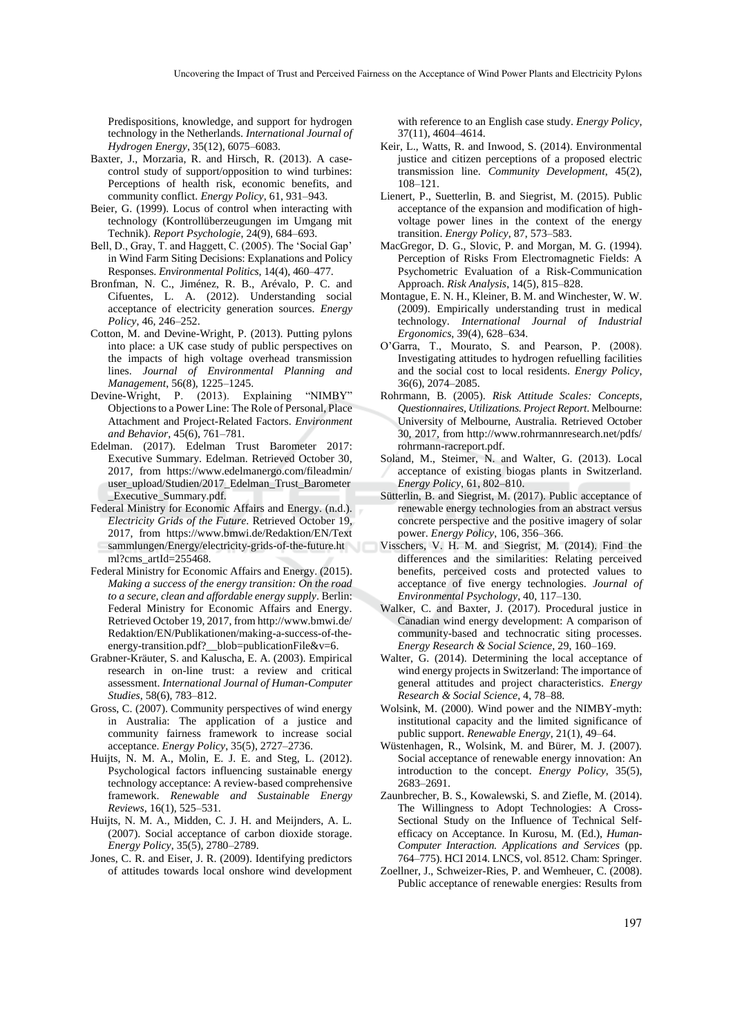Predispositions, knowledge, and support for hydrogen technology in the Netherlands. *International Journal of Hydrogen Energy*, 35(12), 6075–6083.

- Baxter, J., Morzaria, R. and Hirsch, R. (2013). A casecontrol study of support/opposition to wind turbines: Perceptions of health risk, economic benefits, and community conflict. *Energy Policy*, 61, 931–943.
- Beier, G. (1999). Locus of control when interacting with technology (Kontrollüberzeugungen im Umgang mit Technik). *Report Psychologie*, 24(9), 684–693.
- Bell, D., Gray, T. and Haggett, C. (2005). The 'Social Gap' in Wind Farm Siting Decisions: Explanations and Policy Responses. *Environmental Politics*, 14(4), 460–477.
- Bronfman, N. C., Jiménez, R. B., Arévalo, P. C. and Cifuentes, L. A. (2012). Understanding social acceptance of electricity generation sources. *Energy Policy*, 46, 246–252.
- Cotton, M. and Devine-Wright, P. (2013). Putting pylons into place: a UK case study of public perspectives on the impacts of high voltage overhead transmission lines. *Journal of Environmental Planning and Management*, 56(8), 1225–1245.
- Devine-Wright, P. (2013). Explaining "NIMBY" Objections to a Power Line: The Role of Personal, Place Attachment and Project-Related Factors. *Environment and Behavior*, 45(6), 761–781.
- Edelman. (2017). Edelman Trust Barometer 2017: Executive Summary. Edelman. Retrieved October 30, 2017, from https://www.edelmanergo.com/fileadmin/ user\_upload/Studien/2017\_Edelman\_Trust\_Barometer \_Executive\_Summary.pdf.
- Federal Ministry for Economic Affairs and Energy. (n.d.). *Electricity Grids of the Future*. Retrieved October 19, 2017, from https://www.bmwi.de/Redaktion/EN/Text sammlungen/Energy/electricity-grids-of-the-future.ht ml?cms\_artId=255468.
- Federal Ministry for Economic Affairs and Energy. (2015). *Making a success of the energy transition: On the road to a secure, clean and affordable energy supply*. Berlin: Federal Ministry for Economic Affairs and Energy. Retrieved October 19, 2017, from http://www.bmwi.de/ Redaktion/EN/Publikationen/making-a-success-of-theenergy-transition.pdf?\_blob=publicationFile&v=6.
- Grabner-Kräuter, S. and Kaluscha, E. A. (2003). Empirical research in on-line trust: a review and critical assessment. *International Journal of Human-Computer Studies*, 58(6), 783–812.
- Gross, C. (2007). Community perspectives of wind energy in Australia: The application of a justice and community fairness framework to increase social acceptance. *Energy Policy*, 35(5), 2727–2736.
- Huijts, N. M. A., Molin, E. J. E. and Steg, L. (2012). Psychological factors influencing sustainable energy technology acceptance: A review-based comprehensive framework. *Renewable and Sustainable Energy Reviews*, 16(1), 525–531.
- Huijts, N. M. A., Midden, C. J. H. and Meijnders, A. L. (2007). Social acceptance of carbon dioxide storage. *Energy Policy*, 35(5), 2780–2789.
- Jones, C. R. and Eiser, J. R. (2009). Identifying predictors of attitudes towards local onshore wind development

with reference to an English case study. *Energy Policy*, 37(11), 4604–4614.

- Keir, L., Watts, R. and Inwood, S. (2014). Environmental justice and citizen perceptions of a proposed electric transmission line. *Community Development*, 45(2), 108–121.
- Lienert, P., Suetterlin, B. and Siegrist, M. (2015). Public acceptance of the expansion and modification of highvoltage power lines in the context of the energy transition. *Energy Policy*, 87, 573–583.
- MacGregor, D. G., Slovic, P. and Morgan, M. G. (1994). Perception of Risks From Electromagnetic Fields: A Psychometric Evaluation of a Risk-Communication Approach. *Risk Analysis*, 14(5), 815–828.
- Montague, E. N. H., Kleiner, B. M. and Winchester, W. W. (2009). Empirically understanding trust in medical technology. *International Journal of Industrial Ergonomics*, 39(4), 628–634.
- O'Garra, T., Mourato, S. and Pearson, P. (2008). Investigating attitudes to hydrogen refuelling facilities and the social cost to local residents. *Energy Policy*, 36(6), 2074–2085.
- Rohrmann, B. (2005). *Risk Attitude Scales: Concepts, Questionnaires, Utilizations. Project Report*. Melbourne: University of Melbourne, Australia. Retrieved October 30, 2017, from http://www.rohrmannresearch.net/pdfs/ rohrmann-racreport.pdf.
- Soland, M., Steimer, N. and Walter, G. (2013). Local acceptance of existing biogas plants in Switzerland. *Energy Policy*, 61, 802–810.
- Sütterlin, B. and Siegrist, M. (2017). Public acceptance of renewable energy technologies from an abstract versus concrete perspective and the positive imagery of solar power. *Energy Policy*, 106, 356–366.
- Visschers, V. H. M. and Siegrist, M. (2014). Find the differences and the similarities: Relating perceived benefits, perceived costs and protected values to acceptance of five energy technologies. *Journal of Environmental Psychology*, 40, 117–130.
- Walker, C. and Baxter, J. (2017). Procedural justice in Canadian wind energy development: A comparison of community-based and technocratic siting processes. *Energy Research & Social Science*, 29, 160–169.
- Walter, G. (2014). Determining the local acceptance of wind energy projects in Switzerland: The importance of general attitudes and project characteristics. *Energy Research & Social Science*, 4, 78–88.
- Wolsink, M. (2000). Wind power and the NIMBY-myth: institutional capacity and the limited significance of public support. *Renewable Energy*, 21(1), 49–64.
- Wüstenhagen, R., Wolsink, M. and Bürer, M. J. (2007). Social acceptance of renewable energy innovation: An introduction to the concept. *Energy Policy*, 35(5), 2683–2691.
- Zaunbrecher, B. S., Kowalewski, S. and Ziefle, M. (2014). The Willingness to Adopt Technologies: A Cross-Sectional Study on the Influence of Technical Selfefficacy on Acceptance. In Kurosu, M. (Ed.), *Human-Computer Interaction. Applications and Services* (pp. 764–775). HCI 2014. LNCS, vol. 8512. Cham: Springer.
- Zoellner, J., Schweizer-Ries, P. and Wemheuer, C. (2008). Public acceptance of renewable energies: Results from